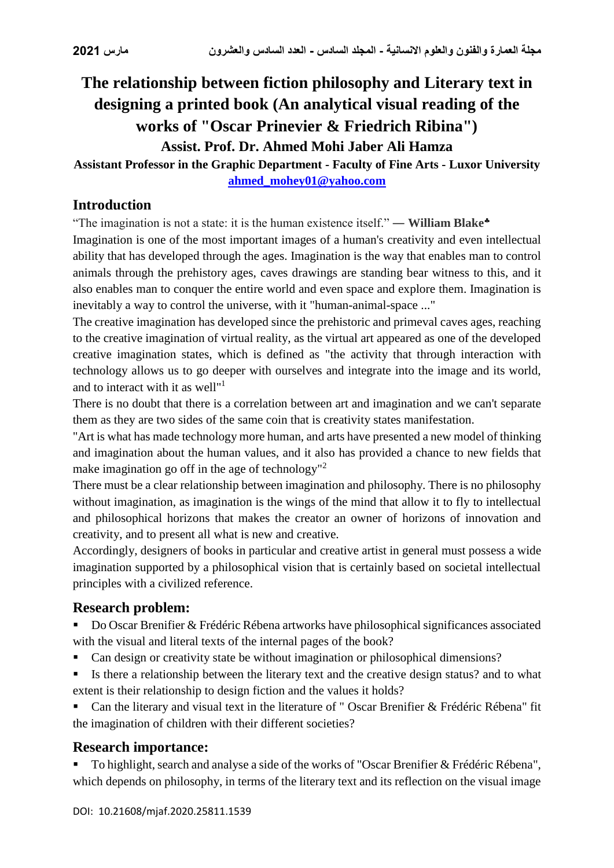# **The relationship between fiction philosophy and Literary text in designing a printed book (An analytical visual reading of the works of "Oscar Prinevier & Friedrich Ribina") Assist. Prof. Dr. Ahmed Mohi Jaber Ali Hamza**

### **Assistant Professor in the Graphic Department - Faculty of Fine Arts - Luxor University [ahmed\\_mohey01@yahoo.com](mailto:ahmed_mohey01@yahoo.com)**

# **Introduction**

"The imagination is not a state: it is the human existence itself." ― **William Blake**

Imagination is one of the most important images of a human's creativity and even intellectual ability that has developed through the ages. Imagination is the way that enables man to control animals through the prehistory ages, caves drawings are standing bear witness to this, and it also enables man to conquer the entire world and even space and explore them. Imagination is inevitably a way to control the universe, with it "human-animal-space ..."

The creative imagination has developed since the prehistoric and primeval caves ages, reaching to the creative imagination of virtual reality, as the virtual art appeared as one of the developed creative imagination states, which is defined as "the activity that through interaction with technology allows us to go deeper with ourselves and integrate into the image and its world, and to interact with it as well"<sup>1</sup>

There is no doubt that there is a correlation between art and imagination and we can't separate them as they are two sides of the same coin that is creativity states manifestation.

"Art is what has made technology more human, and arts have presented a new model of thinking and imagination about the human values, and it also has provided a chance to new fields that make imagination go off in the age of technology"<sup>2</sup>

There must be a clear relationship between imagination and philosophy. There is no philosophy without imagination, as imagination is the wings of the mind that allow it to fly to intellectual and philosophical horizons that makes the creator an owner of horizons of innovation and creativity, and to present all what is new and creative.

Accordingly, designers of books in particular and creative artist in general must possess a wide imagination supported by a philosophical vision that is certainly based on societal intellectual principles with a civilized reference.

# **Research problem:**

- Do Oscar Brenifier & Frédéric Rébena artworks have philosophical significances associated with the visual and literal texts of the internal pages of the book?
- Can design or creativity state be without imagination or philosophical dimensions?
- Is there a relationship between the literary text and the creative design status? and to what extent is their relationship to design fiction and the values it holds?

 Can the literary and visual text in the literature of " Oscar Brenifier & Frédéric Rébena" fit the imagination of children with their different societies?

# **Research importance:**

 To highlight, search and analyse a side of the works of "Oscar Brenifier & Frédéric Rébena", which depends on philosophy, in terms of the literary text and its reflection on the visual image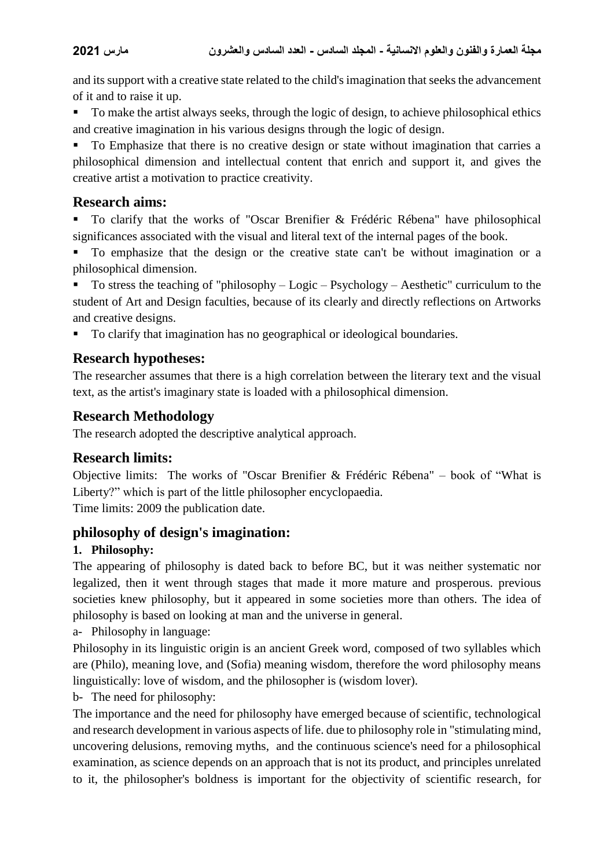and its support with a creative state related to the child's imagination that seeks the advancement of it and to raise it up.

To make the artist always seeks, through the logic of design, to achieve philosophical ethics and creative imagination in his various designs through the logic of design.

 To Emphasize that there is no creative design or state without imagination that carries a philosophical dimension and intellectual content that enrich and support it, and gives the creative artist a motivation to practice creativity.

### **Research aims:**

 To clarify that the works of "Oscar Brenifier & Frédéric Rébena" have philosophical significances associated with the visual and literal text of the internal pages of the book.

 To emphasize that the design or the creative state can't be without imagination or a philosophical dimension.

 To stress the teaching of "philosophy – Logic – Psychology – Aesthetic" curriculum to the student of Art and Design faculties, because of its clearly and directly reflections on Artworks and creative designs.

To clarify that imagination has no geographical or ideological boundaries.

# **Research hypotheses:**

The researcher assumes that there is a high correlation between the literary text and the visual text, as the artist's imaginary state is loaded with a philosophical dimension.

### **Research Methodology**

The research adopted the descriptive analytical approach.

# **Research limits:**

Objective limits: The works of "Oscar Brenifier & Frédéric Rébena" – book of "What is Liberty?" which is part of the little philosopher encyclopaedia. Time limits: 2009 the publication date.

#### **philosophy of design's imagination:**

#### **1. Philosophy:**

The appearing of philosophy is dated back to before BC, but it was neither systematic nor legalized, then it went through stages that made it more mature and prosperous. previous societies knew philosophy, but it appeared in some societies more than others. The idea of philosophy is based on looking at man and the universe in general.

a- Philosophy in language:

Philosophy in its linguistic origin is an ancient Greek word, composed of two syllables which are (Philo), meaning love, and (Sofia) meaning wisdom, therefore the word philosophy means linguistically: love of wisdom, and the philosopher is (wisdom lover).

b- The need for philosophy:

The importance and the need for philosophy have emerged because of scientific, technological and research development in various aspects of life. due to philosophy role in "stimulating mind, uncovering delusions, removing myths, and the continuous science's need for a philosophical examination, as science depends on an approach that is not its product, and principles unrelated to it, the philosopher's boldness is important for the objectivity of scientific research, for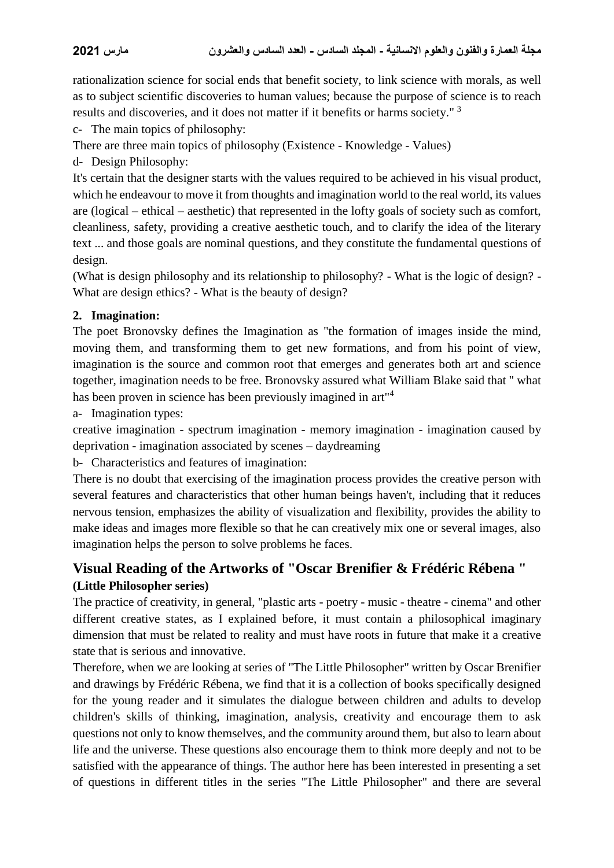rationalization science for social ends that benefit society, to link science with morals, as well as to subject scientific discoveries to human values; because the purpose of science is to reach results and discoveries, and it does not matter if it benefits or harms society."<sup>3</sup>

c- The main topics of philosophy:

There are three main topics of philosophy (Existence - Knowledge - Values)

d- Design Philosophy:

It's certain that the designer starts with the values required to be achieved in his visual product, which he endeavour to move it from thoughts and imagination world to the real world, its values are (logical – ethical – aesthetic) that represented in the lofty goals of society such as comfort, cleanliness, safety, providing a creative aesthetic touch, and to clarify the idea of the literary text ... and those goals are nominal questions, and they constitute the fundamental questions of design.

(What is design philosophy and its relationship to philosophy? - What is the logic of design? - What are design ethics? - What is the beauty of design?

#### **2. Imagination:**

The poet Bronovsky defines the Imagination as "the formation of images inside the mind, moving them, and transforming them to get new formations, and from his point of view, imagination is the source and common root that emerges and generates both art and science together, imagination needs to be free. Bronovsky assured what William Blake said that " what has been proven in science has been previously imagined in art"<sup>4</sup>

a- Imagination types:

creative imagination - spectrum imagination - memory imagination - imagination caused by deprivation - imagination associated by scenes – daydreaming

b- Characteristics and features of imagination:

There is no doubt that exercising of the imagination process provides the creative person with several features and characteristics that other human beings haven't, including that it reduces nervous tension, emphasizes the ability of visualization and flexibility, provides the ability to make ideas and images more flexible so that he can creatively mix one or several images, also imagination helps the person to solve problems he faces.

# **Visual Reading of the Artworks of "Oscar [Brenifier](https://www.goodreads.com/author/show/506533.Oscar_Brenifier) & Frédéric Rébena " (Little Philosopher series)**

The practice of creativity, in general, "plastic arts - poetry - music - theatre - cinema" and other different creative states, as I explained before, it must contain a philosophical imaginary dimension that must be related to reality and must have roots in future that make it a creative state that is serious and innovative.

Therefore, when we are looking at series of "The Little Philosopher" written by Oscar Brenifier and drawings by Frédéric Rébena, we find that it is a collection of books specifically designed for the young reader and it simulates the dialogue between children and adults to develop children's skills of thinking, imagination, analysis, creativity and encourage them to ask questions not only to know themselves, and the community around them, but also to learn about life and the universe. These questions also encourage them to think more deeply and not to be satisfied with the appearance of things. The author here has been interested in presenting a set of questions in different titles in the series "The Little Philosopher" and there are several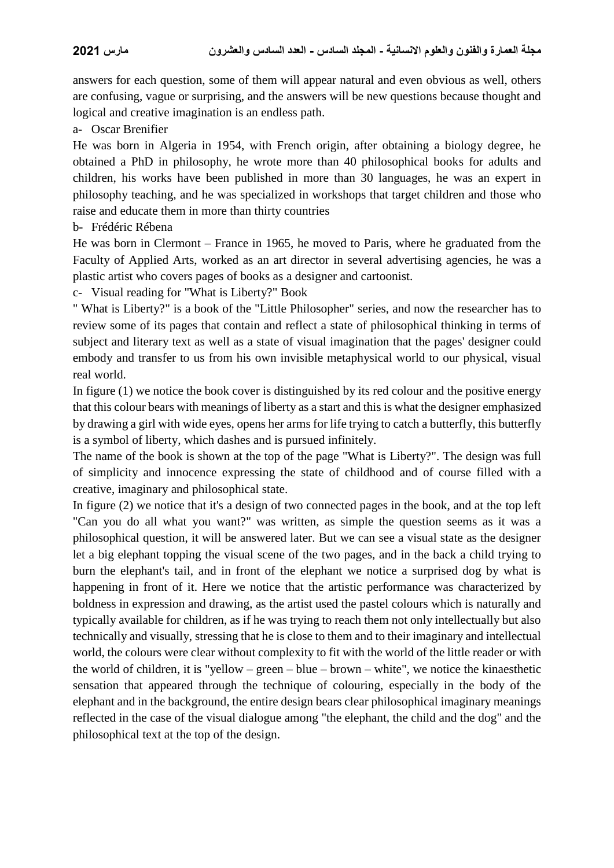answers for each question, some of them will appear natural and even obvious as well, others are confusing, vague or surprising, and the answers will be new questions because thought and logical and creative imagination is an endless path.

a- Oscar Brenifier

He was born in Algeria in 1954, with French origin, after obtaining a biology degree, he obtained a PhD in philosophy, he wrote more than 40 philosophical books for adults and children, his works have been published in more than 30 languages, he was an expert in philosophy teaching, and he was specialized in workshops that target children and those who raise and educate them in more than thirty countries

b- Frédéric Rébena

He was born in Clermont – France in 1965, he moved to Paris, where he graduated from the Faculty of Applied Arts, worked as an art director in several advertising agencies, he was a plastic artist who covers pages of books as a designer and cartoonist.

c- Visual reading for "What is Liberty?" Book

" What is Liberty?" is a book of the "Little Philosopher" series, and now the researcher has to review some of its pages that contain and reflect a state of philosophical thinking in terms of subject and literary text as well as a state of visual imagination that the pages' designer could embody and transfer to us from his own invisible metaphysical world to our physical, visual real world.

In figure (1) we notice the book cover is distinguished by its red colour and the positive energy that this colour bears with meanings of liberty as a start and this is what the designer emphasized by drawing a girl with wide eyes, opens her arms for life trying to catch a butterfly, this butterfly is a symbol of liberty, which dashes and is pursued infinitely.

The name of the book is shown at the top of the page "What is Liberty?". The design was full of simplicity and innocence expressing the state of childhood and of course filled with a creative, imaginary and philosophical state.

In figure (2) we notice that it's a design of two connected pages in the book, and at the top left "Can you do all what you want?" was written, as simple the question seems as it was a philosophical question, it will be answered later. But we can see a visual state as the designer let a big elephant topping the visual scene of the two pages, and in the back a child trying to burn the elephant's tail, and in front of the elephant we notice a surprised dog by what is happening in front of it. Here we notice that the artistic performance was characterized by boldness in expression and drawing, as the artist used the pastel colours which is naturally and typically available for children, as if he was trying to reach them not only intellectually but also technically and visually, stressing that he is close to them and to their imaginary and intellectual world, the colours were clear without complexity to fit with the world of the little reader or with the world of children, it is "yellow – green – blue – brown – white", we notice the kinaesthetic sensation that appeared through the technique of colouring, especially in the body of the elephant and in the background, the entire design bears clear philosophical imaginary meanings reflected in the case of the visual dialogue among "the elephant, the child and the dog" and the philosophical text at the top of the design.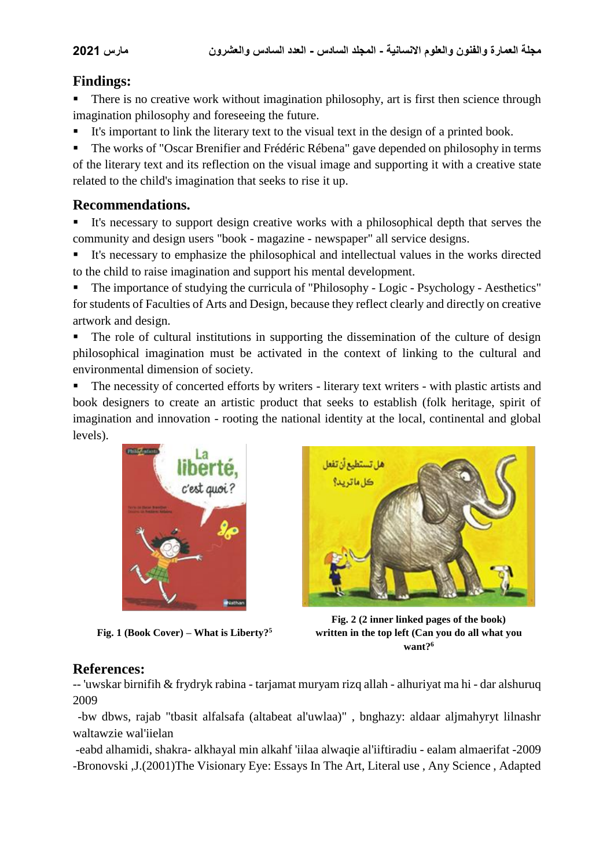# **Findings:**

 There is no creative work without imagination philosophy, art is first then science through imagination philosophy and foreseeing the future.

It's important to link the literary text to the visual text in the design of a printed book.

 The works of "Oscar Brenifier and Frédéric Rébena" gave depended on philosophy in terms of the literary text and its reflection on the visual image and supporting it with a creative state related to the child's imagination that seeks to rise it up.

# **Recommendations.**

 It's necessary to support design creative works with a philosophical depth that serves the community and design users "book - magazine - newspaper" all service designs.

 It's necessary to emphasize the philosophical and intellectual values in the works directed to the child to raise imagination and support his mental development.

 The importance of studying the curricula of "Philosophy - Logic - Psychology - Aesthetics" for students of Faculties of Arts and Design, because they reflect clearly and directly on creative artwork and design.

 The role of cultural institutions in supporting the dissemination of the culture of design philosophical imagination must be activated in the context of linking to the cultural and environmental dimension of society.

 The necessity of concerted efforts by writers - literary text writers - with plastic artists and book designers to create an artistic product that seeks to establish (folk heritage, spirit of imagination and innovation - rooting the national identity at the local, continental and global levels).







**Fig. 2 (2 inner linked pages of the book) written in the top left (Can you do all what you want?<sup>6</sup>**

# **References:**

-- 'uwskar birnifih & frydryk rabina - tarjamat muryam rizq allah - alhuriyat ma hi - dar alshuruq 2009

-bw dbws, rajab "tbasit alfalsafa (altabeat al'uwlaa)" , bnghazy: aldaar aljmahyryt lilnashr waltawzie wal'iielan

-eabd alhamidi, shakra- alkhayal min alkahf 'iilaa alwaqie al'iiftiradiu - ealam almaerifat -2009 -Bronovski ,J.(2001)The Visionary Eye: Essays In The Art, Literal use , Any Science , Adapted